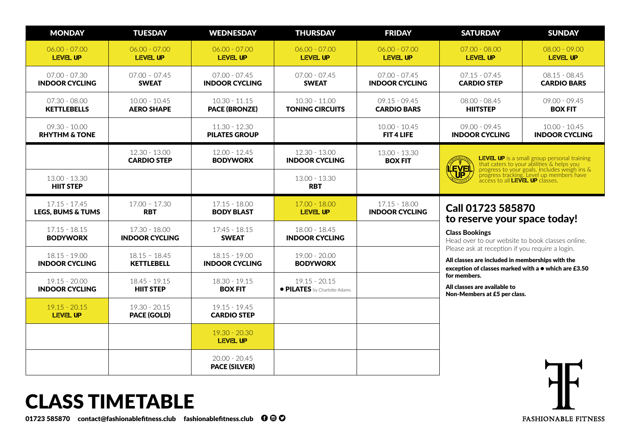| <b>MONDAY</b>                                   | <b>TUESDAY</b>                         | <b>WEDNESDAY</b>                         | <b>THURSDAY</b>                                 | <b>FRIDAY</b>                            | <b>SATURDAY</b>                                                                                                                                                                                                                                             | <b>SUNDAY</b>                            |  |
|-------------------------------------------------|----------------------------------------|------------------------------------------|-------------------------------------------------|------------------------------------------|-------------------------------------------------------------------------------------------------------------------------------------------------------------------------------------------------------------------------------------------------------------|------------------------------------------|--|
| $06.00 - 07.00$<br><b>LEVEL UP</b>              | $06.00 - 07.00$<br><b>LEVEL UP</b>     | $06.00 - 07.00$<br><b>LEVEL UP</b>       | $06.00 - 07.00$<br>LEVEL UP                     | $06.00 - 07.00$<br><b>LEVEL UP</b>       | $07.00 - 08.00$<br><b>LEVEL UP</b>                                                                                                                                                                                                                          | $08.00 - 09.00$<br><b>LEVEL UP</b>       |  |
| $07.00 - 07.30$<br><b>INDOOR CYCLING</b>        | $07.00 - 07.45$<br><b>SWEAT</b>        | $07.00 - 07.45$<br><b>INDOOR CYCLING</b> | $07.00 - 07.45$<br><b>SWEAT</b>                 | $07.00 - 07.45$<br><b>INDOOR CYCLING</b> | $07.15 - 07.45$<br><b>CARDIO STEP</b>                                                                                                                                                                                                                       | $08.15 - 08.45$<br><b>CARDIO BARS</b>    |  |
| 07.30 - 08.00<br><b>KETTLEBELLS</b>             | $10.00 - 10.45$<br><b>AERO SHAPE</b>   | $10.30 - 11.15$<br><b>PACE (BRONZE)</b>  | $10.30 - 11.00$<br><b>TONING CIRCUITS</b>       | $09.15 - 09.45$<br><b>CARDIO BARS</b>    | $08.00 - 08.45$<br><b>HIITSTEP</b>                                                                                                                                                                                                                          | 09.00 - 09.45<br><b>BOX FIT</b>          |  |
| $09.30 - 10.00$<br><b>RHYTHM &amp; TONE</b>     |                                        | $11.30 - 12.30$<br><b>PILATES GROUP</b>  |                                                 | $10.00 - 10.45$<br><b>FIT 4 LIFE</b>     | $09.00 - 09.45$<br><b>INDOOR CYCLING</b>                                                                                                                                                                                                                    | $10.00 - 10.45$<br><b>INDOOR CYCLING</b> |  |
|                                                 | $12.30 - 13.00$<br><b>CARDIO STEP</b>  | $12.00 - 12.45$<br><b>BODYWORX</b>       | $12.30 - 13.00$<br><b>INDOOR CYCLING</b>        | 13.00 - 13.30<br><b>BOX FIT</b>          | <b>LEVEL UP</b> is a small group personal training<br>that caters to your abilities & helps you<br>progress to your goals. Includes weigh ins &<br>progress tracking. Level up members have<br>access to all <b>LEVEL UP</b> classes.<br><b>EVEL</b><br>UP. |                                          |  |
| $13.00 - 13.30$<br><b>HIIT STEP</b>             |                                        |                                          | $13.00 - 13.30$<br><b>RBT</b>                   |                                          |                                                                                                                                                                                                                                                             |                                          |  |
| $17.15 - 17.45$<br><b>LEGS, BUMS &amp; TUMS</b> | $17.00 - 17.30$<br><b>RBT</b>          | $17.15 - 18.00$<br><b>BODY BLAST</b>     | $17.00 - 18.00$<br><b>LEVEL UP</b>              | $17.15 - 18.00$<br><b>INDOOR CYCLING</b> | Call 01723 585870<br>to reserve your space today!                                                                                                                                                                                                           |                                          |  |
| $17.15 - 18.15$<br><b>BODYWORX</b>              | 17.30 - 18.00<br><b>INDOOR CYCLING</b> | $17:45 - 18.15$<br><b>SWEAT</b>          | 18.00 - 18.45<br><b>INDOOR CYCLING</b>          |                                          | <b>Class Bookings</b><br>Head over to our website to book classes online.                                                                                                                                                                                   |                                          |  |
| $18.15 - 19.00$<br><b>INDOOR CYCLING</b>        | $18.15 - 18.45$<br><b>KETTLEBELL</b>   | $18.15 - 19.00$<br><b>INDOOR CYCLING</b> | $19.00 - 20.00$<br><b>BODYWORX</b>              |                                          | Please ask at reception if you require a login.<br>All classes are included in memberships with the<br>exception of classes marked with a ● which are £3.50<br>for members.<br>All classes are available to<br>Non-Members at £5 per class.                 |                                          |  |
| $19.15 - 20.00$<br><b>INDOOR CYCLING</b>        | $18.45 - 19.15$<br><b>HIIT STEP</b>    | $18.30 - 19.15$<br><b>BOX FIT</b>        | $19.15 - 20.15$<br>• PILATES by Charlotte Adams |                                          |                                                                                                                                                                                                                                                             |                                          |  |
| $19.15 - 20.15$<br><b>LEVEL UP</b>              | 19.30 - 20.15<br><b>PACE (GOLD)</b>    | $19.15 - 19.45$<br><b>CARDIO STEP</b>    |                                                 |                                          |                                                                                                                                                                                                                                                             |                                          |  |
|                                                 |                                        | $19.30 - 20.30$<br>LEVEL UP              |                                                 |                                          |                                                                                                                                                                                                                                                             |                                          |  |
|                                                 |                                        | $20.00 - 20.45$<br><b>PACE (SILVER)</b>  |                                                 |                                          |                                                                                                                                                                                                                                                             |                                          |  |

# CLASS TIMETABLE